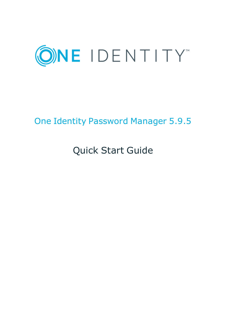

# One Identity Password Manager 5.9.5

# Quick Start Guide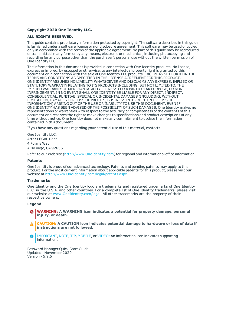#### **Copyright 2020 One Identity LLC.**

#### **ALL RIGHTS RESERVED.**

This guide contains proprietary information protected by copyright. The software described in this guide is furnished under a software license or nondisclosure agreement. This software may be used or copied only in accordance with the terms of the applicable agreement. No part of this guide may be reproduced or transmitted in any form or by any means, electronic or mechanical, including photocopying and recording for any purpose other than the purchaser's personal use without the written permission of One Identity LLC .

The information in this document is provided in connection with One Identity products. No license, express or implied, by estoppel or otherwise, to any intellectual property right is granted by this document or in connection with the sale of One Identity LLC products. EXCEPT AS SET FORTH IN THE TERMS AND CONDITIONS AS SPECIFIED IN THE LICENSE AGREEMENT FOR THIS PRODUCT, ONE IDENTITY ASSUMES NO LIABILITY WHATSOEVER AND DISCLAIMS ANY EXPRESS, IMPLIED OR STATUTORY WARRANTY RELATING TO ITS PRODUCTS INCLUDING, BUT NOT LIMITED TO, THE IMPLIED WARRANTY OF MERCHANTABILITY, FITNESS FOR A PARTICULAR PURPOSE, OR NON-INFRINGEMENT. IN NO EVENT SHALL ONE IDENTITY BE LIABLE FOR ANY DIRECT, INDIRECT, CONSEQUENTIAL, PUNITIVE, SPECIAL OR INCIDENTAL DAMAGES (INCLUDING, WITHOUT LIMITATION, DAMAGES FOR LOSS OF PROFITS, BUSINESS INTERRUPTION OR LOSS OF INFORMATION) ARISING OUT OF THE USE OR INABILITY TO USE THIS DOCUMENT, EVEN IF ONE IDENTITY HAS BEEN ADVISED OF THE POSSIBILITY OF SUCH DAMAGES. One Identity makes no representations or warranties with respect to the accuracy or completeness of the contents of this document and reserves the right to make changes to specifications and product descriptions at any time without notice. One Identity does not make any commitment to update the information contained in this document.

If you have any questions regarding your potential use of this material, contact:

One Identity LLC. Attn: LEGAL Dept 4 Polaris Way Aliso Viejo, CA 92656

Refer to our Web site ([http://www.OneIdentity.com](http://www.oneidentity.com/)) for regional and international office information.

#### **Patents**

One Identity is proud of our advanced technology. Patents and pending patents may apply to this product. For the most current information about applicable patents for this product, please visit our website at [http://www.OneIdentity.com/legal/patents.aspx](http://www.oneidentity.com/legal/patents.aspx).

#### **Trademarks**

One Identity and the One Identity logo are trademarks and registered trademarks of One Identity LLC. in the U.S.A. and other countries. For a complete list of One Identity trademarks, please visit our website at [www.OneIdentity.com/legal](http://www.oneidentity.com/legal). All other trademarks are the property of their respective owners.

#### **Legend**

- **WARNING: A WARNING icon indicates a potential for property damage, personal injury, or death.**
- **CAUTION: A CAUTION icon indicates potential damage to hardware or loss of data if instructions are not followed.**
- IMPORTANT, NOTE, TIP, MOBILE, or VIDEO: An information icon indicates supporting Œ information.

Password Manager Quick Start Guide Updated - November 2020 Version - 5.9.5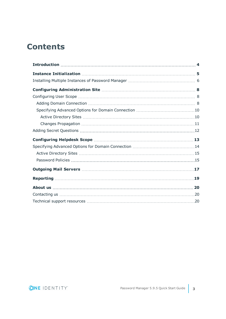### **Contents**

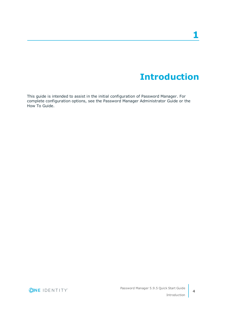## **Introduction**

<span id="page-3-0"></span>This guide is intended to assist in the initial configuration of Password Manager. For complete configuration options, see the Password Manager Administrator Guide or the How To Guide.

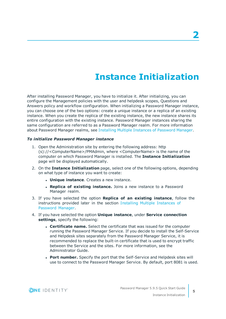## **Instance Initialization**

<span id="page-4-0"></span>After installing Password Manager, you have to initialize it. After initializing, you can configure the Management policies with the user and helpdesk scopes, Questions and Answers policy and workflow configuration. When initializing a Password Manager instance, you can choose one of the two options: create a unique instance or a replica of an existing instance. When you create the replica of the existing instance, the new instance shares its entire configuration with the existing instance. Password Manager instances sharing the same configuration are referred to as a Password Manager realm. For more information about Password Manager realms, see Installing Multiple [Instances](#page-5-0) of Password Manager.

#### *To initialize Password Manager instance*

- 1. Open the Administration site by entering the following address: http (s)://<ComputerName>/PMAdmin, where <ComputerName> is the name of the computer on which Password Manager is installed. The **Instance Initialization** page will be displayed automatically.
- 2. On the **Instance Initialization** page, select one of the following options, depending on what type of instance you want to create:
	- **. Unique instance**. Creates a new instance.
	- **. Replica of existing instance.** Joins a new instance to a Password Manager realm.
- 3. If you have selected the option **Replica of an existing instance**, follow the instructions provided later in the section Installing Multiple [Instances](#page-5-0) of [Password](#page-5-0) Manager.
- 4. If you have selected the option **Unique instance**, under **Service connection settings**, specify the following:
	- <sup>l</sup> **Certificate name.** Select the certificate that was issued for the computer running the Password Manager Service. If you decide to install the Self-Service and Helpdesk sites separately from the Password Manager Service, it is recommended to replace the built-in certificate that is used to encrypt traffic between the Service and the sites. For more information, see the Administrator Guide.
	- <sup>l</sup> **Port number.** Specify the port that the Self-Service and Helpdesk sites will use to connect to the Password Manager Service. By default, port 8081 is used.

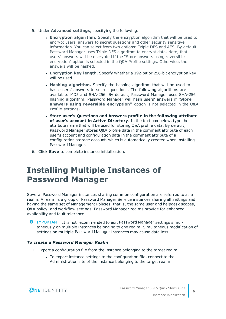- 5. Under **Advanced settings**, specifying the following:
	- **Encryption algorithm.** Specify the encryption algorithm that will be used to encrypt users' answers to secret questions and other security sensitive information. You can select from two options: Triple DES and AES. By default, Password Manager uses Triple DES algorithm to encrypt data. Note, that users' answers will be encrypted if the "Store answers using reversible encryption" option is selected in the Q&A Profile settings. Otherwise, the answers will be hashed.
	- <sup>l</sup> **Encryption key length.** Specify whether a 192-bit or 256-bit encryption key will be used.
	- **Hashing algorithm.** Specify the hashing algorithm that will be used to hash users' answers to secret questions. The following algorithms are available: MD5 and SHA-256. By default, Password Manager uses SHA-256 hashing algorithm. Password Manager will hash users' answers if "**Store answers using reversible encryption"** option is not selected in the Q&A Profile settings**.**
	- <sup>l</sup> **Store user's Questions and Answers profile in the following attribute of user's account in Active Directory**. In the text box below, type the attribute name that will be used for storing Q&A profile data. By default, Password Manager stores Q&A profile data in the comment attribute of each user's account and configuration data in the comment attribute of a configuration storage account, which is automatically created when installing Password Manager.
- <span id="page-5-0"></span>6. Click **Save** to complete instance initialization.

### **Installing Multiple Instances of Password Manager**

Several Password Manager instances sharing common configuration are referred to as a realm. A realm is a group of Password Manager Service instances sharing all settings and having the same set of Management Policies, that is, the same user and helpdesk scopes, Q&A policy, and workflow settings. Password Manager realms provide for enhanced availability and fault tolerance.

**O** | IMPORTANT: It is not recommended to edit Password Manager settings simultaneously on multiple instances belonging to one realm. Simultaneous modification of settings on multiple Password Manager instances may cause data loss.

#### *To create a Password Manager Realm*

- 1. Export a configuration file from the instance belonging to the target realm.
	- To export instance settings to the configuration file, connect to the Administration site of the instance belonging to the target realm.

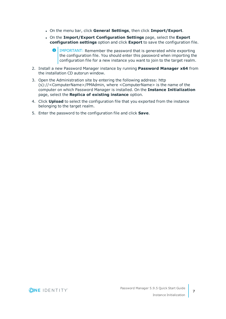- <sup>l</sup> On the menu bar, click **General Settings**, then click **Import/Export**.
- <sup>l</sup> On the **Import/Export Configuration Settings** page, select the **Export configuration settings** option and click **Export** to save the configuration file.
	- **O** IMPORTANT: Remember the password that is generated while exporting the configuration file. You should enter this password when importing the configuration file for a new instance you want to join to the target realm.
- 2. Install a new Password Manager instance by running **Password Manager x64** from the installation CD autorun window.
- 3. Open the Administration site by entering the following address: http (s)://<ComputerName>/PMAdmin, where <ComputerName> is the name of the computer on which Password Manager is installed. On the **Instance Initialization** page, select the **Replica of existing instance** option.
- 4. Click **Upload** to select the configuration file that you exported from the instance belonging to the target realm.
- 5. Enter the password to the configuration file and click **Save**.

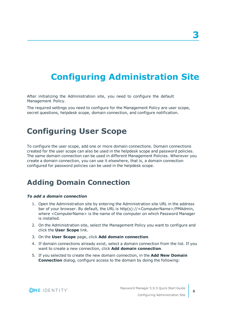# <span id="page-7-0"></span>**Configuring Administration Site**

After initializing the Administration site, you need to configure the default Management Policy.

The required settings you need to configure for the Management Policy are user scope, secret questions, helpdesk scope, domain connection, and configure notification.

### <span id="page-7-1"></span>**Configuring User Scope**

To configure the user scope, add one or more domain connections. Domain connections created for the user scope can also be used in the helpdesk scope and password policies. The same domain connection can be used in different Management Policies. Wherever you create a domain connection, you can use it elsewhere, that is, a domain connection configured for password policies can be used in the helpdesk scope.

### <span id="page-7-2"></span>**Adding Domain Connection**

#### *To add a domain connection*

- 1. Open the Administration site by entering the Administration site URL in the address bar of your browser. By default, the URL is http(s)://<ComputerName>/PMAdmin, where <ComputerName> is the name of the computer on which Password Manager is installed.
- 2. On the Administration site, select the Management Policy you want to configure and click the **User Scope** link.
- 3. On the **User Scope** page, click **Add domain connection**.
- 4. If domain connections already exist, select a domain connection from the list. If you want to create a new connection, click **Add domain connection**.
- 5. If you selected to create the new domain connection, in the **Add New Domain Connection** dialog, configure access to the domain by doing the following:

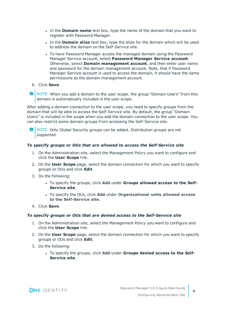- **In the Domain name** text box, type the name of the domain that you want to register with Password Manager.
- <sup>l</sup> In the **Domain alias** text box, type the alias for the domain which will be used to address the domain on the Self-Service site.
- To have Password Manager access the managed domain using the Password Manager Service account, select **Password Manager Service account**. Otherwise, select **Domain management account**, and then enter user name and password for the domain management account. Note, that if Password Manager Service account is used to access the domain, it should have the same permissions as the domain management account.
- 6. Click **Save**.
- **O** NOTE: When you add a domain to the user scope, the group "Domain Users" from this domain is automatically included in the user scope.

After adding a domain connection to the user scope, you need to specify groups from the domain that will be able to access the Self-Service site. By default, the group "Domain Users" is included in the scope when you add the domain connection to the user scope. You can also restrict some domain groups from accessing the Self-Service site.

NOTE: Only Global Security groups can be added. Distribution groups are not supported.

#### *To specify groups or OUs that are allowed to access the Self-Service site*

- 1. On the Administration site, select the Management Policy you want to configure and click the **User Scope** link.
- 2. On the **User Scope** page, select the domain connection for which you want to specify groups or OUs and click **Edit**.
- 3. Do the following:
	- <sup>l</sup> To specify the groups, click **Add** under **Groups allowed access to the Self-Service site**.
	- <sup>l</sup> To specify the OUs, click **Add** under **Organizational units allowed access to the Self-Service site**.
- 4. Click **Save**.

#### *To specify groups or OUs that are denied access to the Self-Service site*

- 1. On the Administration site, select the Management Policy you want to configure and click the **User Scope** link.
- 2. On the **User Scope** page, select the domain connection for which you want to specify groups or OUs and click **Edit**.
- 3. Do the following:
	- <sup>l</sup> To specify the groups, click **Add** under **Groups denied access to the Self-Service site**.

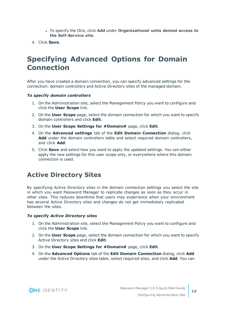- <sup>l</sup> To specify the OUs, click **Add** under **Organizational units denied access to the Self-Service site**.
- <span id="page-9-0"></span>4. Click **Save**.

### **Specifying Advanced Options for Domain Connection**

After you have created a domain connection, you can specify advanced settings for the connection: domain controllers and Active Directory sites of the managed domain.

#### *To specify domain controllers*

- 1. On the Administration site, select the Management Policy you want to configure and click the **User Scope** link.
- 2. On the **User Scope** page, select the domain connection for which you want to specify domain controllers and click **Edit**.
- 3. On the **User Scope Settings for #Domain#** page, click **Edit**.
- 4. On the **Advanced settings** tab of the **Edit Domain Connection** dialog, click **Add** under the domain controllers table and select required domain controllers, and click **Add**.
- 5. Click **Save** and select how you want to apply the updated settings. You can either apply the new settings for this user scope only, or everywhere where this domain connection is used.

### <span id="page-9-1"></span>**Active Directory Sites**

By specifying Active Directory sites in the domain connection settings you select the site in which you want Password Manager to replicate changes as soon as they occur in other sites. This reduces downtime that users may experience when your environment has several Active Directory sites and changes do not get immediately replicated between the sites.

#### *To specify Active Directory sites*

- 1. On the Administration site, select the Management Policy you want to configure and click the **User Scope** link.
- 2. On the **User Scope** page, select the domain connection for which you want to specify Active Directory sites and click **Edit**.
- 3. On the **User Scope Settings for #Domain#** page, click **Edit**.
- 4. On the **Advanced Options** tab of the **Edit Domain Connection** dialog, click **Add** under the Active Directory sites table, select required sites, and click **Add**. You can

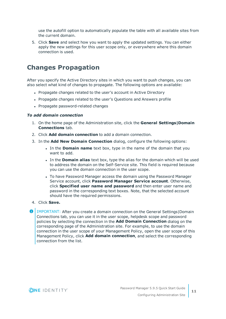use the autofill option to automatically populate the table with all available sites from the current domain.

5. Click **Save** and select how you want to apply the updated settings. You can either apply the new settings for this user scope only, or everywhere where this domain connection is used.

### <span id="page-10-0"></span>**Changes Propagation**

After you specify the Active Directory sites in which you want to push changes, you can also select what kind of changes to propagate. The following options are available:

- Propagate changes related to the user's account in Active Directory
- Propagate changes related to the user's Questions and Answers profile
- Propagate password-related changes

#### *To add domain connection*

- 1. On the home page of the Administration site, click the **General Settings|Domain Connections** tab.
- 2. Click **Add domain connection** to add a domain connection.
- 3. In the **Add New Domain Connection** dialog, configure the following options:
	- In the **Domain name** text box, type in the name of the domain that you want to add.
	- <sup>l</sup> In the **Domain alias** text box, type the alias for the domain which will be used to address the domain on the Self-Service site. This field is required because you can use the domain connection in the user scope.
	- To have Password Manager access the domain using the Password Manager Service account, click **Password Manager Service account**. Otherwise, click **Specified user name and password** and then enter user name and password in the corresponding text boxes. Note, that the selected account should have the required permissions.
- 4. Click **Save.**

**O** | IMPORTANT: After you create a domain connection on the General Settings | Domain Connections tab, you can use it in the user scope, helpdesk scope and password policies by selecting the connection in the **Add Domain Connection** dialog on the corresponding page of the Administration site. For example, to use the domain connection in the user scope of your Management Policy, open the user scope of this Management Policy, click **Add domain connection**, and select the corresponding connection from the list.

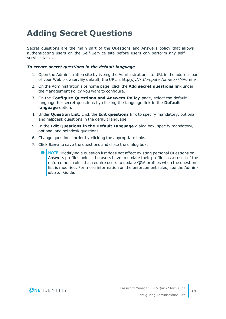## <span id="page-11-0"></span>**Adding Secret Questions**

Secret questions are the main part of the Questions and Answers policy that allows authenticating users on the Self-Service site before users can perform any selfservice tasks.

#### *To create secret questions in the default language*

- 1. Open the Administration site by typing the Administration site URL in the address bar of your Web browser. By default, the URL is http(s)://<*ComputerName*>/PMAdmin/.
- 2. On the Administration site home page, click the **Add secret questions** link under the Management Policy you want to configure.
- 3. On the **Configure Questions and Answers Policy** page, select the default language for secret questions by clicking the language link in the **Default language** option.
- 4. Under **Question List,** click the **Edit questions** link to specify mandatory, optional and helpdesk questions in the default language.
- 5. In the **Edit Questions in the Default Language** dialog box, specify mandatory, optional and helpdesk questions.
- 6. Change questions' order by clicking the appropriate links.
- 7. Click **Save** to save the questions and close the dialog box.
	- 0 NOTE: Modifying a question list does not affect existing personal Questions or Answers profiles unless the users have to update their profiles as a result of the enforcement rules that require users to update Q&A profiles when the question list is modified. For more information on the enforcement rules, see the Administrator Guide.



**12**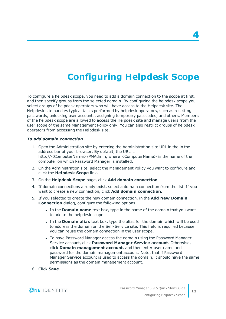# **Configuring Helpdesk Scope**

<span id="page-12-0"></span>To configure a helpdesk scope, you need to add a domain connection to the scope at first, and then specify groups from the selected domain. By configuring the helpdesk scope you select groups of helpdesk operators who will have access to the Helpdesk site. The Helpdesk site handles typical tasks performed by helpdesk operators, such as resetting passwords, unlocking user accounts, assigning temporary passcodes, and others. Members of the helpdesk scope are allowed to access the Helpdesk site and manage users from the user scope of the same Management Policy only. You can also restrict groups of helpdesk operators from accessing the Helpdesk site.

#### *To add domain connection*

- 1. Open the Administration site by entering the Administration site URL in the in the address bar of your browser. By default, the URL is http://<ComputerName>/PMAdmin, where <ComputerName> is the name of the computer on which Password Manager is installed.
- 2. On the Administration site, select the Management Policy you want to configure and click the **Helpdesk Scope** link.
- 3. On the **Helpdesk Scope** page, click **Add domain connection**.
- 4. If domain connections already exist, select a domain connection from the list. If you want to create a new connection, click **Add domain connection**.
- 5. If you selected to create the new domain connection, in the **Add New Domain Connection** dialog, configure the following options:
	- **.** In the **Domain name** text box, type in the name of the domain that you want to add to the helpdesk scope.
	- <sup>l</sup> In the **Domain alias** text box, type the alias for the domain which will be used to address the domain on the Self-Service site. This field is required because you can reuse the domain connection in the user scope.
	- To have Password Manager access the domain using the Password Manager Service account, click **Password Manager Service account**. Otherwise, click **Domain management account**, and then enter user name and password for the domain management account. Note, that if Password Manager Service account is used to access the domain, it should have the same permissions as the domain management account.
- 6. Click **Save**.

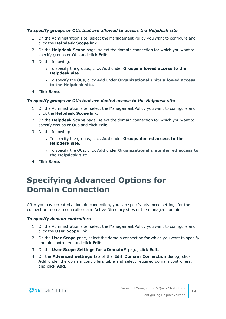#### *To specify groups or OUs that are allowed to access the Helpdesk site*

- 1. On the Administration site, select the Management Policy you want to configure and click the **Helpdesk Scope** link.
- 2. On the **Helpdesk Scope** page, select the domain connection for which you want to specify groups or OUs and click **Edit**.
- 3. Do the following:
	- <sup>l</sup> To specify the groups, click **Add** under **Groups allowed access to the Helpdesk site**.
	- <sup>l</sup> To specify the OUs, click **Add** under **Organizational units allowed access to the Helpdesk site**.
- 4. Click **Save**.

#### *To specify groups or OUs that are denied access to the Helpdesk site*

- 1. On the Administration site, select the Management Policy you want to configure and click the **Helpdesk Scope** link.
- 2. On the **Helpdesk Scope** page, select the domain connection for which you want to specify groups or OUs and click **Edit**.
- 3. Do the following:
	- <sup>l</sup> To specify the groups, click **Add** under **Groups denied access to the Helpdesk site**.
	- <sup>l</sup> To specify the OUs, click **Add** under **Organizational units denied access to the Helpdesk site**.
- <span id="page-13-0"></span>4. Click **Save.**

### **Specifying Advanced Options for Domain Connection**

After you have created a domain connection, you can specify advanced settings for the connection: domain controllers and Active Directory sites of the managed domain.

#### *To specify domain controllers*

- 1. On the Administration site, select the Management Policy you want to configure and click the **User Scope** link.
- 2. On the **User Scope** page, select the domain connection for which you want to specify domain controllers and click **Edit**.
- 3. On the **User Scope Settings for #Domain#** page, click **Edit**.
- 4. On the **Advanced settings** tab of the **Edit Domain Connection** dialog, click **Add** under the domain controllers table and select required domain controllers, and click **Add**.

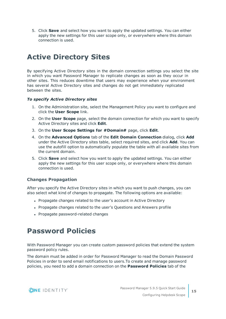5. Click **Save** and select how you want to apply the updated settings. You can either apply the new settings for this user scope only, or everywhere where this domain connection is used.

### <span id="page-14-0"></span>**Active Directory Sites**

By specifying Active Directory sites in the domain connection settings you select the site in which you want Password Manager to replicate changes as soon as they occur in other sites. This reduces downtime that users may experience when your environment has several Active Directory sites and changes do not get immediately replicated between the sites.

#### *To specify Active Directory sites*

- 1. On the Administration site, select the Management Policy you want to configure and click the **User Scope** link.
- 2. On the **User Scope** page, select the domain connection for which you want to specify Active Directory sites and click **Edit**.
- 3. On the **User Scope Settings for #Domain#** page, click **Edit**.
- 4. On the **Advanced Options** tab of the **Edit Domain Connection** dialog, click **Add** under the Active Directory sites table, select required sites, and click **Add**. You can use the autofill option to automatically populate the table with all available sites from the current domain.
- 5. Click **Save** and select how you want to apply the updated settings. You can either apply the new settings for this user scope only, or everywhere where this domain connection is used.

#### **Changes Propagation**

After you specify the Active Directory sites in which you want to push changes, you can also select what kind of changes to propagate. The following options are available:

- Propagate changes related to the user's account in Active Directory
- Propagate changes related to the user's Questions and Answers profile
- Propagate password-related changes

### <span id="page-14-1"></span>**Password Policies**

With Password Manager you can create custom password policies that extend the system password policy rules.

The domain must be added in order for Password Manager to read the Domain Password Policies in order to send email notifications to users.To create and manage password policies, you need to add a domain connection on the **Password Policies** tab of the

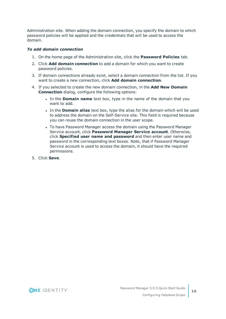Administration site. When adding the domain connection, you specify the domain to which password policies will be applied and the credentials that will be used to access the domain.

#### *To add domain connection*

- 1. On the home page of the Administration site, click the **Password Policies** tab.
- 2. Click **Add domain connection** to add a domain for which you want to create password policies.
- 3. If domain connections already exist, select a domain connection from the list. If you want to create a new connection, click **Add domain connection**.
- 4. If you selected to create the new domain connection, in the **Add New Domain Connection** dialog, configure the following options:
	- In the **Domain name** text box, type in the name of the domain that you want to add.
	- <sup>l</sup> In the **Domain alias** text box, type the alias for the domain which will be used to address the domain on the Self-Service site. This field is required because you can reuse the domain connection in the user scope.
	- To have Password Manager access the domain using the Password Manager Service account, click **Password Manager Service account**. Otherwise, click **Specified user name and password** and then enter user name and password in the corresponding text boxes. Note, that if Password Manager Service account is used to access the domain, it should have the required permissions.
- 5. Click **Save**.

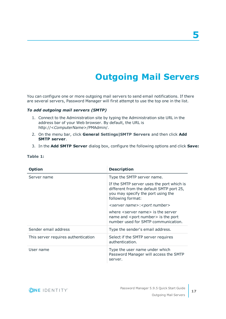# **Outgoing Mail Servers**

<span id="page-16-0"></span>You can configure one or more outgoing mail servers to send email notifications. If there are several servers, Password Manager will first attempt to use the top one in the list.

#### *To add outgoing mail servers (SMTP)*

- 1. Connect to the Administration site by typing the Administration site URL in the address bar of your Web browser. By default, the URL is http://<*ComputerName*>/PMAdmin/.
- 2. On the menu bar, click **General Settings|SMTP Servers** and then click **Add SMTP server**.
- 3. In the **Add SMTP Server** dialog box, configure the following options and click **Save:**

| <b>Option</b>                       | <b>Description</b>                                                                                                                               |
|-------------------------------------|--------------------------------------------------------------------------------------------------------------------------------------------------|
| Server name                         | Type the SMTP server name.                                                                                                                       |
|                                     | If the SMTP server uses the port which is<br>different from the default SMTP port 25,<br>you may specify the port using the<br>following format: |
|                                     | <server name="">:<port number=""></port></server>                                                                                                |
|                                     | where <server name=""> is the server<br/>name and <port number=""> is the port<br/>number used for SMTP communication.</port></server>           |
| Sender email address                | Type the sender's email address.                                                                                                                 |
| This server requires authentication | Select if the SMTP server requires<br>authentication.                                                                                            |
| User name                           | Type the user name under which<br>Password Manager will access the SMTP<br>server.                                                               |

**Table 1:**

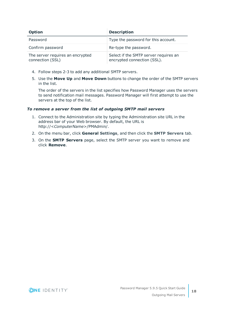| <b>Option</b>                                        | <b>Description</b>                                                   |
|------------------------------------------------------|----------------------------------------------------------------------|
| Password                                             | Type the password for this account.                                  |
| Confirm password                                     | Re-type the password.                                                |
| The server requires an encrypted<br>connection (SSL) | Select if the SMTP server requires an<br>encrypted connection (SSL). |

- 4. Follow steps 2-3 to add any additional SMTP servers.
- 5. Use the **Move Up** and **Move Down** buttons to change the order of the SMTP servers in the list.

The order of the servers in the list specifies how Password Manager uses the servers to send notification mail messages. Password Manager will first attempt to use the servers at the top of the list.

#### *To remove a server from the list of outgoing SMTP mail servers*

- 1. Connect to the Administration site by typing the Administration site URL in the address bar of your Web browser. By default, the URL is http://<*ComputerName*>/PMAdmin/.
- 2. On the menu bar, click **General Settings**, and then click the **SMTP Servers** tab.
- 3. On the **SMTP Servers** page, select the SMTP server you want to remove and click **Remove**.

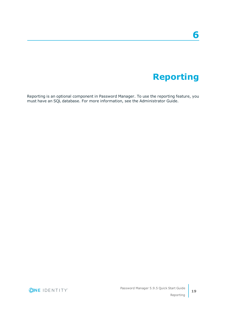### **6**

## **Reporting**

<span id="page-18-0"></span>Reporting is an optional component in Password Manager. To use the reporting feature, you must have an SQL database. For more information, see the Administrator Guide.